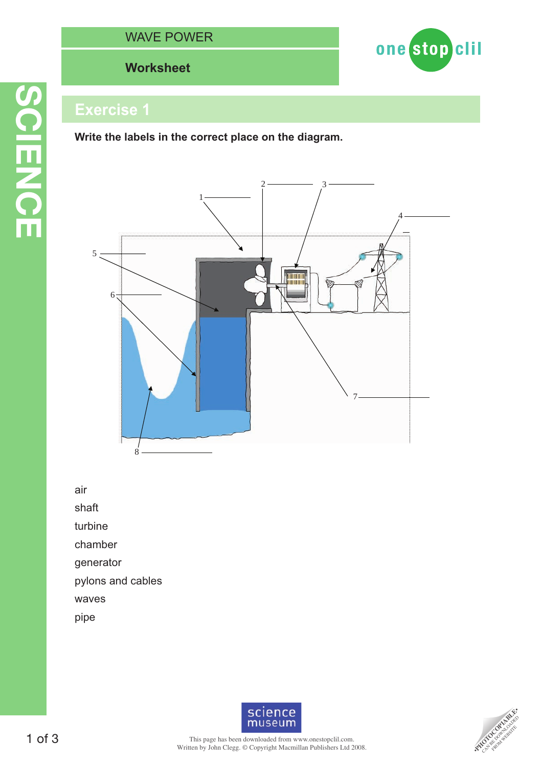# **Worksheet**



# **Exercise 1**

**SCIENCE**

**SCIENCE** 

**Write the labels in the correct place on the diagram.**



air

shaft

turbine

chamber

generator

pylons and cables

waves

pipe



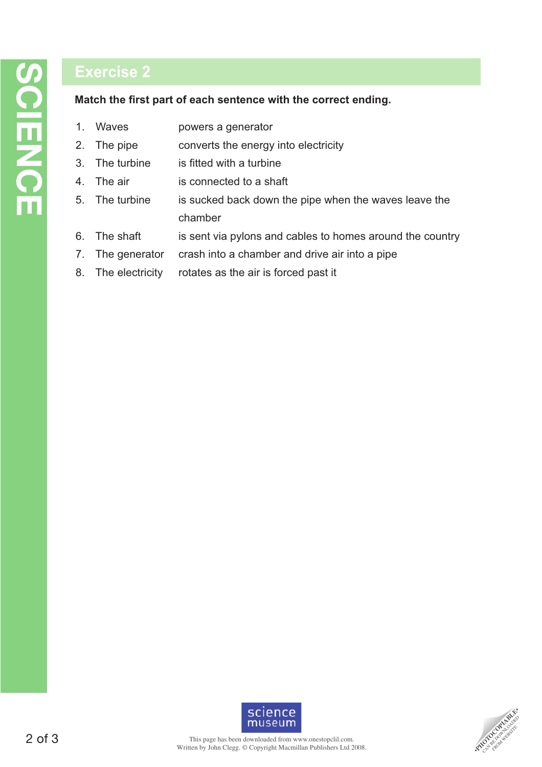# **Exercise 2**

#### Match the first part of each sentence with the correct ending.

- 1. Waves powers a generator 2. The pipe converts the energy into electricity 3. The turbine is fitted with a turbine 4. The air is connected to a shaft 5. The turbine is sucked back down the pipe when the waves leave the chamber 6. The shaft is sent via pylons and cables to homes around the country 7. The generator crash into a chamber and drive air into a pipe
- 8. The electricity rotates as the air is forced past it



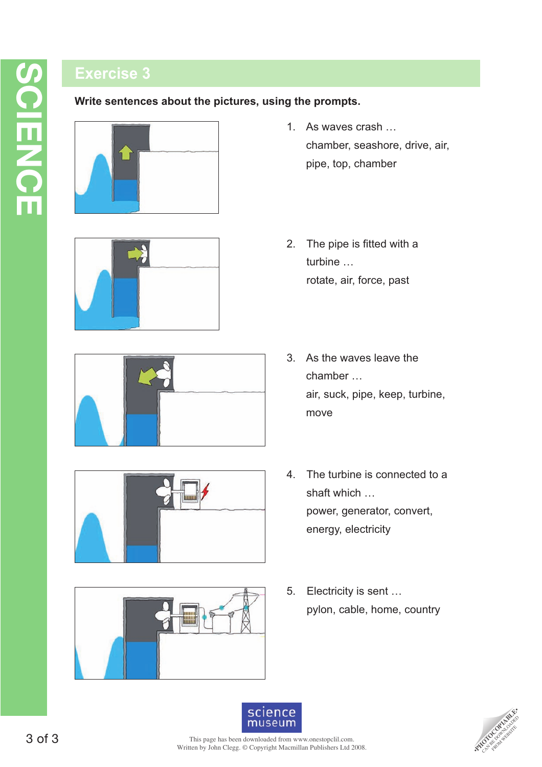# **Exercise 3**

**Write sentences about the pictures, using the prompts.**











- 1. As waves crash … chamber, seashore, drive, air, pipe, top, chamber
- 2. The pipe is fitted with a turbine … rotate, air, force, past
- 3. As the waves leave the chamber … air, suck, pipe, keep, turbine, move
- 4. The turbine is connected to a shaft which … power, generator, convert, energy, electricity
- 5. Electricity is sent … pylon, cable, home, country



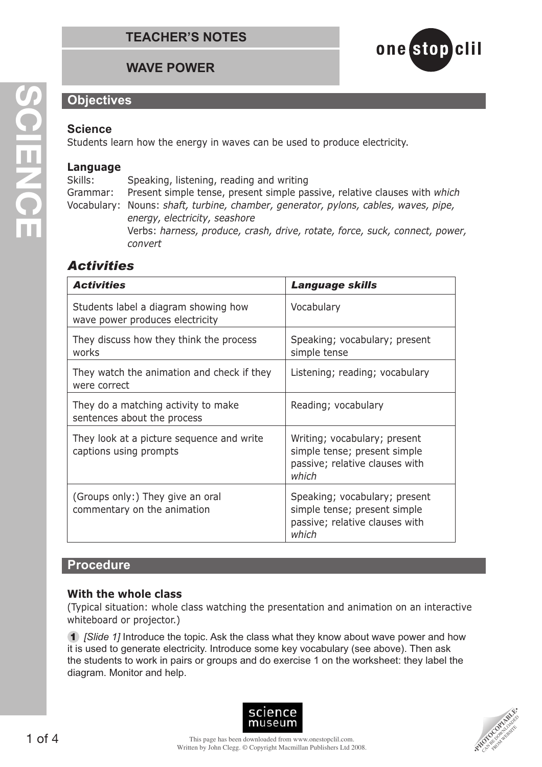

# **Objectives**

#### **Science**

Students learn how the energy in waves can be used to produce electricity.

#### **Language**

Skills: Speaking, listening, reading and writing Grammar: Present simple tense, present simple passive, relative clauses with *which* Vocabulary: Nouns: *shaft, turbine, chamber, generator, pylons, cables, waves, pipe, energy, electricity, seashore* Verbs: *harness, produce, crash, drive, rotate, force, suck, connect, power, convert*

# *Activities*

| <b>Activities</b>                                                       | <b>Language skills</b>                                                                                   |
|-------------------------------------------------------------------------|----------------------------------------------------------------------------------------------------------|
| Students label a diagram showing how<br>wave power produces electricity | Vocabulary                                                                                               |
| They discuss how they think the process<br>works                        | Speaking; vocabulary; present<br>simple tense                                                            |
| They watch the animation and check if they<br>were correct              | Listening; reading; vocabulary                                                                           |
| They do a matching activity to make<br>sentences about the process      | Reading; vocabulary                                                                                      |
| They look at a picture sequence and write<br>captions using prompts     | Writing; vocabulary; present<br>simple tense; present simple<br>passive; relative clauses with<br>which  |
| (Groups only:) They give an oral<br>commentary on the animation         | Speaking; vocabulary; present<br>simple tense; present simple<br>passive; relative clauses with<br>which |

#### **Procedure**

#### **With the whole class**

(Typical situation: whole class watching the presentation and animation on an interactive whiteboard or projector.)

**1** [Slide 1] Introduce the topic. Ask the class what they know about wave power and how it is used to generate electricity. Introduce some key vocabulary (see above). Then ask the students to work in pairs or groups and do exercise 1 on the worksheet: they label the diagram. Monitor and help.



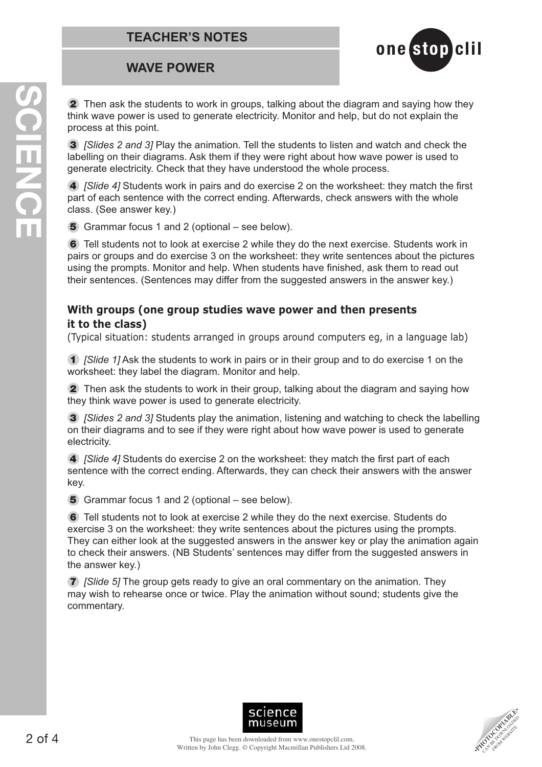

**2** Then ask the students to work in groups, talking about the diagram and saying how they think wave power is used to generate electricity. Monitor and help, but do not explain the process at this point.

**3** [Slides 2 and 3] Play the animation. Tell the students to listen and watch and check the labelling on their diagrams. Ask them if they were right about how wave power is used to generate electricity. Check that they have understood the whole process.

**4** *[Slide 4]* Students work in pairs and do exercise 2 on the worksheet: they match the first part of each sentence with the correct ending. Afterwards, check answers with the whole class. (See answer key.)

**5** Grammar focus 1 and 2 (optional – see below).

**6** Tell students not to look at exercise 2 while they do the next exercise. Students work in pairs or groups and do exercise 3 on the worksheet: they write sentences about the pictures using the prompts. Monitor and help. When students have finished, ask them to read out their sentences. (Sentences may differ from the suggested answers in the answer key.)

#### **With groups (one group studies wave power and then presents it to the class)**

(Typical situation: students arranged in groups around computers eg, in a language lab)

**1** [Slide 1] Ask the students to work in pairs or in their group and to do exercise 1 on the worksheet: they label the diagram. Monitor and help.

**2** Then ask the students to work in their group, talking about the diagram and saying how they think wave power is used to generate electricity.

**3** [Slides 2 and 3] Students play the animation, listening and watching to check the labelling on their diagrams and to see if they were right about how wave power is used to generate electricity.

**4** *[Slide 4]* Students do exercise 2 on the worksheet: they match the first part of each sentence with the correct ending. Afterwards, they can check their answers with the answer key.

**5** Grammar focus 1 and 2 (optional – see below).

**6** Tell students not to look at exercise 2 while they do the next exercise. Students do exercise 3 on the worksheet: they write sentences about the pictures using the prompts. They can either look at the suggested answers in the answer key or play the animation again to check their answers. (NB Students' sentences may differ from the suggested answers in the answer key.)

**7** [Slide 5] The group gets ready to give an oral commentary on the animation. They may wish to rehearse once or twice. Play the animation without sound; students give the commentary.



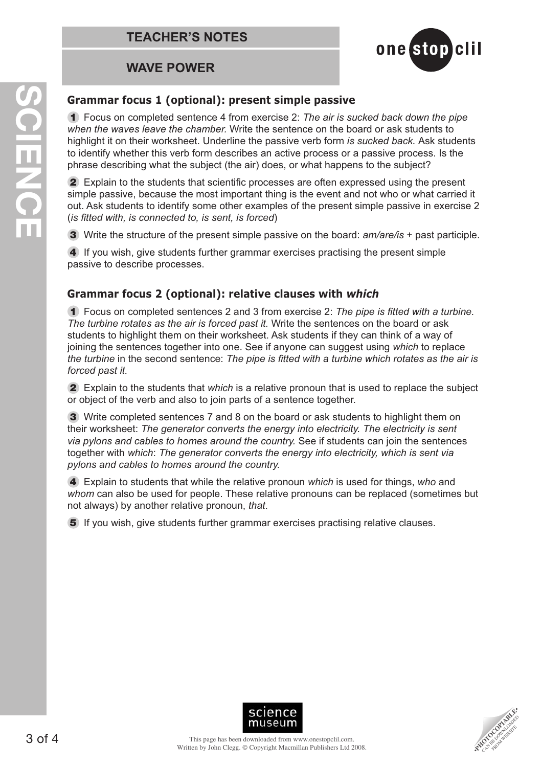

## **Grammar focus 1 (optional): present simple passive**

**1** Focus on completed sentence 4 from exercise 2: The air is sucked back down the pipe when the waves leave the chamber. Write the sentence on the board or ask students to highlight it on their worksheet. Underline the passive verb form is sucked back. Ask students to identify whether this verb form describes an active process or a passive process. Is the phrase describing what the subject (the air) does, or what happens to the subject?

**2** Explain to the students that scientific processes are often expressed using the present simple passive, because the most important thing is the event and not who or what carried it out. Ask students to identify some other examples of the present simple passive in exercise 2  $($ is fitted with, is connected to, is sent, is forced $)$ 

**3** Write the structure of the present simple passive on the board: am/are/is + past participle.

**4** If you wish, give students further grammar exercises practising the present simple passive to describe processes.

## **Grammar focus 2 (optional): relative clauses with** *which*

**1** Focus on completed sentences 2 and 3 from exercise 2: The pipe is fitted with a turbine. The turbine rotates as the air is forced past it. Write the sentences on the board or ask students to highlight them on their worksheet. Ask students if they can think of a way of joining the sentences together into one. See if anyone can suggest using which to replace the turbine in the second sentence: The pipe is fitted with a turbine which rotates as the air is forced past it.

**2** Explain to the students that which is a relative pronoun that is used to replace the subject or object of the verb and also to join parts of a sentence together.

**3** Write completed sentences 7 and 8 on the board or ask students to highlight them on their worksheet: The generator converts the energy into electricity. The electricity is sent via pylons and cables to homes around the country. See if students can join the sentences together with which: The generator converts the energy into electricity, which is sent via pylons and cables to homes around the country.

**4** Explain to students that while the relative pronoun which is used for things, who and whom can also be used for people. These relative pronouns can be replaced (sometimes but not always) by another relative pronoun, that.

**5** If you wish, give students further grammar exercises practising relative clauses.